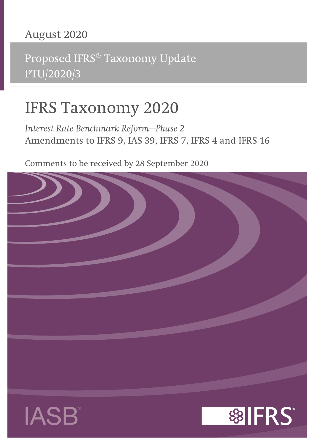## **August 2020**

Proposed IFRS® Taxonomy Update PTU/2020/3

# **IFRS Taxonomy 2020**

*Interest Rate Benchmark Reform—Phase 2* **Amendments to IFRS 9, IAS 39, IFRS 7, IFRS 4 and IFRS 16**

Comments to be received by 28 September 2020





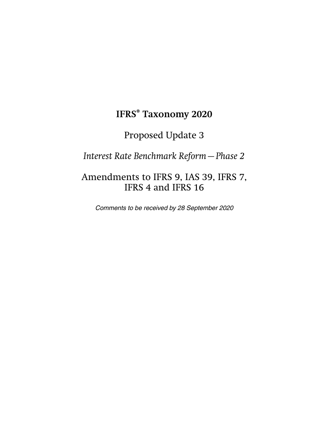## **IFRS® Taxonomy 2020**

### Proposed Update 3

*Interest Rate Benchmark Reform—Phase 2*

### Amendments to IFRS 9, IAS 39, IFRS 7, IFRS 4 and IFRS 16

Comments to be received by 28 September 2020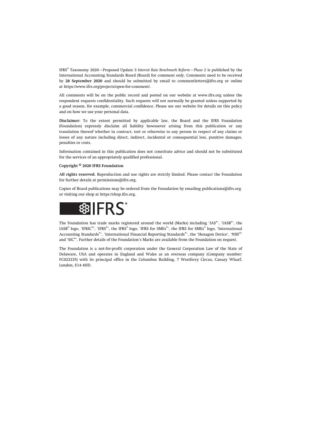IFRS® Taxonomy 2020—Proposed Update 3 *Interest Rate Benchmark Reform—Phase 2* is published by the International Accounting Standards Board (Board) for comment only. Comments need to be received by **28 September 2020** and should be submitted by email to [commentletters@ifrs.org](mailto:commentletters@ifrs.org) or online at <https://www.ifrs.org/projects/open-for-comment/>.

All comments will be on the public record and posted on our website at [www.ifrs.org](https://www.ifrs.org) unless the respondent requests confidentiality. Such requests will not normally be granted unless supported by a good reason, for example, commercial confidence. Please see our website for details on this policy and on how we use your personal data.

**Disclaimer:** To the extent permitted by applicable law, the Board and the IFRS Foundation (Foundation) expressly disclaim all liability howsoever arising from this publication or any translation thereof whether in contract, tort or otherwise to any person in respect of any claims or losses of any nature including direct, indirect, incidental or consequential loss, punitive damages, penalties or costs.

Information contained in this publication does not constitute advice and should not be substituted for the services of an appropriately qualified professional.

#### **Copyright © 2020 IFRS Foundation**

**All rights reserved.** Reproduction and use rights are strictly limited. Please contact the Foundation for further details at [permissions@ifrs.org](mailto:permissions@ifrs.org).

Copies of Board publications may be ordered from the Foundation by emailing [publications@ifrs.org](mailto:publications@ifrs.org)  or visiting our shop at<https://shop.ifrs.org>.



The Foundation has trade marks registered around the world (Marks) including 'IAS®, 'IASB®, the IASB® logo, 'IFRIC®', 'IFRS®', the IFRS® logo, 'IFRS for SMEs®', the IFRS for SMEs® logo, 'International Accounting Standards®', 'International Financial Reporting Standards®', the 'Hexagon Device', 'NIIF®' and 'SIC®'. Further details of the Foundation's Marks are available from the Foundation on request.

The Foundation is a not-for-profit corporation under the General Corporation Law of the State of Delaware, USA and operates in England and Wales as an overseas company (Company number: FC023235) with its principal office in the Columbus Building, 7 Westferry Circus, Canary Wharf, London, E14 4HD.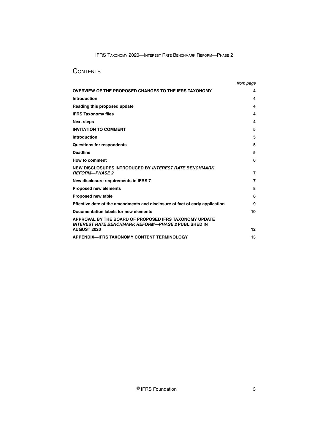#### **CONTENTS**

|                                                                                                                      | from page |
|----------------------------------------------------------------------------------------------------------------------|-----------|
| OVERVIEW OF THE PROPOSED CHANGES TO THE IFRS TAXONOMY                                                                | 4         |
| Introduction                                                                                                         | 4         |
| Reading this proposed update                                                                                         | 4         |
| <b>IFRS Taxonomy files</b>                                                                                           | 4         |
| <b>Next steps</b>                                                                                                    | 4         |
| <b>INVITATION TO COMMENT</b>                                                                                         | 5         |
| Introduction                                                                                                         | 5         |
| <b>Questions for respondents</b>                                                                                     | 5         |
| <b>Deadline</b>                                                                                                      | 5         |
| How to comment                                                                                                       | 6         |
| NEW DISCLOSURES INTRODUCED BY INTEREST RATE BENCHMARK<br><b>REFORM-PHASE 2</b>                                       | 7         |
| New disclosure requirements in IFRS 7                                                                                | 7         |
| <b>Proposed new elements</b>                                                                                         | 8         |
| Proposed new table                                                                                                   | 8         |
| Effective date of the amendments and disclosure of fact of early application                                         | 9         |
| Documentation labels for new elements                                                                                | 10        |
| APPROVAL BY THE BOARD OF PROPOSED IFRS TAXONOMY UPDATE<br><b>INTEREST RATE BENCHMARK REFORM—PHASE 2 PUBLISHED IN</b> |           |
| <b>AUGUST 2020</b>                                                                                                   | 12        |
| <b>APPENDIX—IFRS TAXONOMY CONTENT TERMINOLOGY</b>                                                                    | 13        |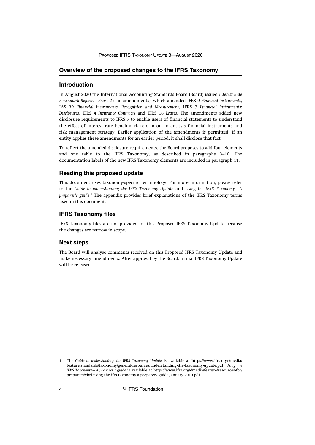#### <span id="page-4-0"></span>**Overview of the proposed changes to the IFRS Taxonomy**

#### **Introduction**

In August 2020 the International Accounting Standards Board (Board) issued *Interest Rate Benchmark Reform—Phase 2* (the amendments), which amended IFRS 9 *Financial Instruments*, IAS 39 *Financial Instruments: Recognition and Measurement*, IFRS 7 *Financial Instruments: Disclosures*, IFRS 4 *Insurance Contracts* and IFRS 16 *Leases*. The amendments added new disclosure requirements to IFRS 7 to enable users of financial statements to understand the effect of interest rate benchmark reform on an entity's financial instruments and risk management strategy. Earlier application of the amendments is permitted. If an entity applies these amendments for an earlier period, it shall disclose that fact.

To reflect the amended disclosure requirements, the Board proposes to add four elements and one table to the IFRS Taxonomy, as described in paragraphs 3–10. The documentation labels of the new IFRS Taxonomy elements are included in paragraph 11.

#### **Reading this proposed update**

This document uses taxonomy-specific terminology. For more information, please refer to the *Guide to understanding the IFRS Taxonomy Update* and *Using the IFRS Taxonomy—A* preparer's guide.<sup>1</sup> The appendix provides brief explanations of the IFRS Taxonomy terms used in this document.

#### **IFRS Taxonomy files**

IFRS Taxonomy files are not provided for this Proposed IFRS Taxonomy Update because the changes are narrow in scope.

#### **Next steps**

The Board will analyse comments received on this Proposed IFRS Taxonomy Update and make necessary amendments. After approval by the Board, a final IFRS Taxonomy Update will be released.

<sup>1</sup> The *Guide to understanding the IFRS Taxonomy Update* is available at [https://www.ifrs.org/-/media/](http://www.ifrs.org/-/media/feature/standards/taxonomy/general-resources/understanding-ifrs-taxonomy-update.pdf) [feature/standards/taxonomy/general-resources/understanding-ifrs-taxonomy-update.pdf](http://www.ifrs.org/-/media/feature/standards/taxonomy/general-resources/understanding-ifrs-taxonomy-update.pdf). *Using the IFRS Taxonomy—A preparer's guide* is available at [https://www.ifrs.org/-/media/feature/resources-for/](http://www.ifrs.org/-/media/feature/resources-for/preparers/xbrl-using-the-ifrs-taxonomy-a-preparers-guide-january-2019.pdf) [preparers/xbrl-using-the-ifrs-taxonomy-a-preparers-guide-january-2019.pdf](http://www.ifrs.org/-/media/feature/resources-for/preparers/xbrl-using-the-ifrs-taxonomy-a-preparers-guide-january-2019.pdf).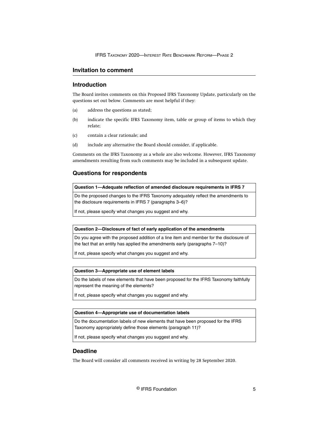#### <span id="page-5-0"></span>**Invitation to comment**

#### **Introduction**

The Board invites comments on this Proposed IFRS Taxonomy Update, particularly on the questions set out below. Comments are most helpful if they:

- (a) address the questions as stated;
- (b) indicate the specific IFRS Taxonomy item, table or group of items to which they relate;
- (c) contain a clear rationale; and
- (d) include any alternative the Board should consider, if applicable.

Comments on the IFRS Taxonomy as a whole are also welcome. However, IFRS Taxonomy amendments resulting from such comments may be included in a subsequent update.

#### **Questions for respondents**

**Question 1—Adequate reflection of amended disclosure requirements in IFRS 7**

Do the proposed changes to the IFRS Taxonomy adequately reflect the amendments to the disclosure requirements in IFRS 7 (paragraphs 3–6)?

If not, please specify what changes you suggest and why.

#### **Question 2—Disclosure of fact of early application of the amendments**

Do you agree with the proposed addition of a line item and member for the disclosure of the fact that an entity has applied the amendments early (paragraphs 7–10)?

If not, please specify what changes you suggest and why.

#### **Question 3—Appropriate use of element labels**

Do the labels of new elements that have been proposed for the IFRS Taxonomy faithfully represent the meaning of the elements?

If not, please specify what changes you suggest and why.

#### **Question 4—Appropriate use of documentation labels**

Do the documentation labels of new elements that have been proposed for the IFRS Taxonomy appropriately define those elements (paragraph 11)?

If not, please specify what changes you suggest and why.

#### **Deadline**

The Board will consider all comments received in writing by 28 September 2020.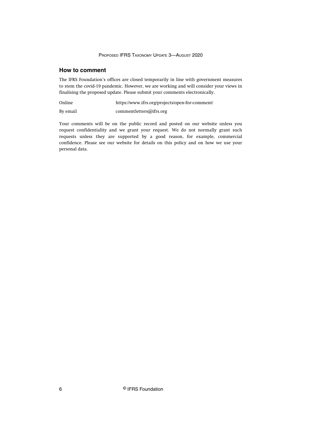#### <span id="page-6-0"></span>**How to comment**

The IFRS Foundation's offices are closed temporarily in line with government measures to stem the covid-19 pandemic. However, we are working and will consider your views in finalising the proposed update. Please submit your comments electronically.

Online <https://www.ifrs.org/projects/open-for-comment/>

By email [commentletters@ifrs.org](mailto:commentletters@ifrs.org)

Your comments will be on the public record and posted on our website unless you request confidentiality and we grant your request. We do not normally grant such requests unless they are supported by a good reason, for example, commercial confidence. Please see our website for details on this policy and on how we use your personal data.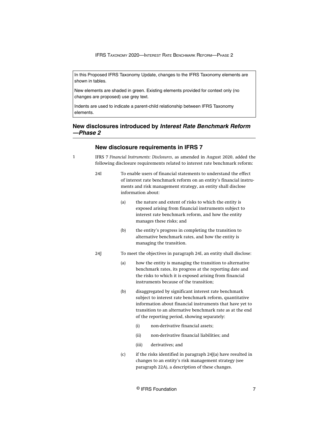<span id="page-7-0"></span>In this Proposed IFRS Taxonomy Update, changes to the IFRS Taxonomy elements are shown in tables.

New elements are shaded in green. Existing elements provided for context only (no changes are proposed) use grey text.

Indents are used to indicate a parent-child relationship between IFRS Taxonomy elements.

#### **New disclosures introduced by Interest Rate Benchmark Reform —Phase 2**

#### **New disclosure requirements in IFRS 7**

1

IFRS 7 *Financial Instruments: Disclosures*, as amended in August 2020, added the following disclosure requirements related to interest rate benchmark reform:

- 24I To enable users of financial statements to understand the effect of interest rate benchmark reform on an entity's financial instruments and risk management strategy, an entity shall disclose information about:
	- (a) the nature and extent of risks to which the entity is exposed arising from financial instruments subject to interest rate benchmark reform, and how the entity manages these risks; and
	- (b) the entity's progress in completing the transition to alternative benchmark rates, and how the entity is managing the transition.
- 24J To meet the objectives in paragraph 24I, an entity shall disclose:
	- (a) how the entity is managing the transition to alternative benchmark rates, its progress at the reporting date and the risks to which it is exposed arising from financial instruments because of the transition;
	- (b) disaggregated by significant interest rate benchmark subject to interest rate benchmark reform, quantitative information about financial instruments that have yet to transition to an alternative benchmark rate as at the end of the reporting period, showing separately:
		- (i) non-derivative financial assets;
		- (ii) non-derivative financial liabilities; and
		- (iii) derivatives; and
	- (c) if the risks identified in paragraph 24J(a) have resulted in changes to an entity's risk management strategy (see paragraph 22A), a description of these changes.

© IFRS Foundation 7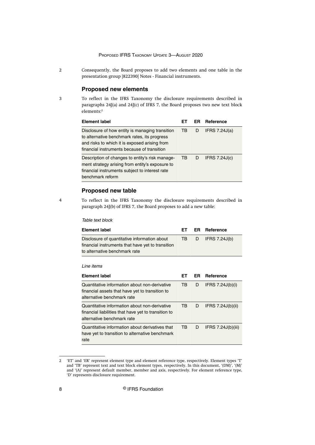- <span id="page-8-0"></span>2
- Consequently, the Board proposes to add two elements and one table in the presentation group [822390] Notes - Financial instruments.

#### **Proposed new elements**

3

To reflect in the IFRS Taxonomy the disclosure requirements described in paragraphs 24J(a) and 24J(c) of IFRS 7, the Board proposes two new text block elements:<sup>2</sup>

| Element label                                                                                                                                                                                   | F٦ | ER. | Reference       |
|-------------------------------------------------------------------------------------------------------------------------------------------------------------------------------------------------|----|-----|-----------------|
| Disclosure of how entity is managing transition<br>to alternative benchmark rates, its progress<br>and risks to which it is exposed arising from<br>financial instruments because of transition | TB | D   | IFRS $7.24J(a)$ |
| Description of changes to entity's risk manage-<br>ment strategy arising from entity's exposure to<br>financial instruments subject to interest rate<br>benchmark reform                        | TВ | D   | IFRS $7.24J(c)$ |

#### **Proposed new table**

4

To reflect in the IFRS Taxonomy the disclosure requirements described in paragraph 24J(b) of IFRS 7, the Board proposes to add a new table:

Table text block

| <b>Element label</b>                                                                                                                | EТ | ER. | Reference            |
|-------------------------------------------------------------------------------------------------------------------------------------|----|-----|----------------------|
| Disclosure of quantitative information about<br>financial instruments that have yet to transition<br>to alternative benchmark rate  | ТB | D   | IFRS $7.24J(b)$      |
| I ine items<br>Element label                                                                                                        | EТ | ER. | Reference            |
| Quantitative information about non-derivative<br>financial assets that have yet to transition to<br>alternative benchmark rate      | TB | D   | IFRS $7.24J(b)(i)$   |
| Quantitative information about non-derivative<br>financial liabilities that have yet to transition to<br>alternative benchmark rate | TB | D   | IFRS 7.24J(b)(ii)    |
| Quantitative information about derivatives that<br>have yet to transition to alternative benchmark<br>rate                          | TВ | D   | IFRS $7.24J(b)(iii)$ |

<sup>2</sup> 'ET' and 'ER' represent element type and element reference type, respectively. Element types 'T' and 'TB' represent text and text block element types, respectively. In this document, '(DM)', '(M)' and '(A)' represent default member, member and axis, respectively. For element reference type, 'D' represents disclosure requirement.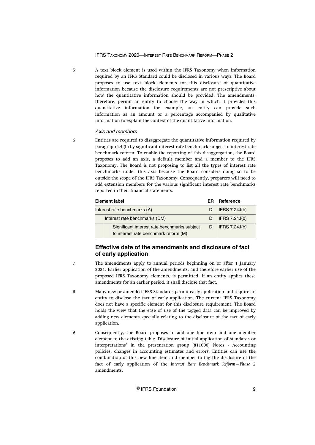<span id="page-9-0"></span>A text block element is used within the IFRS Taxonomy when information required by an IFRS Standard could be disclosed in various ways. The Board proposes to use text block elements for this disclosure of quantitative information because the disclosure requirements are not prescriptive about how the quantitative information should be provided. The amendments, therefore, permit an entity to choose the way in which it provides this quantitative information—for example, an entity can provide such information as an amount or a percentage accompanied by qualitative information to explain the context of the quantitative information. 5

#### Axis and members

6

Entities are required to disaggregate the quantitative information required by paragraph 24J(b) by significant interest rate benchmark subject to interest rate benchmark reform. To enable the reporting of this disaggregation, the Board proposes to add an axis, a default member and a member to the IFRS Taxonomy. The Board is not proposing to list all the types of interest rate benchmarks under this axis because the Board considers doing so to be outside the scope of the IFRS Taxonomy. Consequently, preparers will need to add extension members for the various significant interest rate benchmarks reported in their financial statements.

| <b>Element label</b>                                                                  | ER. | Reference     |
|---------------------------------------------------------------------------------------|-----|---------------|
| Interest rate benchmarks (A)                                                          |     | IFRS 7.24J(b) |
| Interest rate benchmarks (DM)                                                         |     | IFRS 7.24J(b) |
| Significant interest rate benchmarks subject<br>to interest rate benchmark reform (M) |     | IFRS 7.24J(b) |

#### **Effective date of the amendments and disclosure of fact of early application**

- The amendments apply to annual periods beginning on or after 1 January 2021. Earlier application of the amendments, and therefore earlier use of the proposed IFRS Taxonomy elements, is permitted. If an entity applies these amendments for an earlier period, it shall disclose that fact. 7
- Many new or amended IFRS Standards permit early application and require an entity to disclose the fact of early application. The current IFRS Taxonomy does not have a specific element for this disclosure requirement. The Board holds the view that the ease of use of the tagged data can be improved by adding new elements specially relating to the disclosure of the fact of early application. 8
- Consequently, the Board proposes to add one line item and one member element to the existing table 'Disclosure of initial application of standards or interpretations' in the presentation group [811000] Notes - Accounting policies, changes in accounting estimates and errors. Entities can use the combination of this new line item and member to tag the disclosure of the fact of early application of the *Interest Rate Benchmark Reform—Phase 2* amendments. 9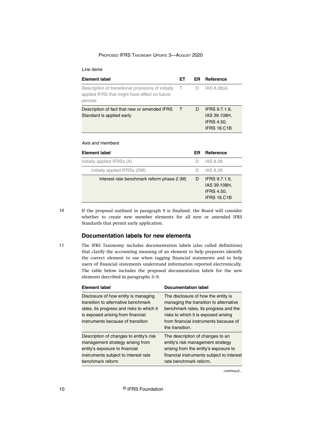#### <span id="page-10-0"></span>Line items

| <b>Element label</b>                                                                                            | EТ     | ER. | Reference                                                                |
|-----------------------------------------------------------------------------------------------------------------|--------|-----|--------------------------------------------------------------------------|
| Description of transitional provisions of initially<br>applied IFRS that might have effect on future<br>periods | $\top$ | D.  | IAS 8.28(e)                                                              |
| Description of fact that new or amended IFRS<br>Standard is applied early                                       | $\top$ | D   | <b>IFRS 9.7.1.9.</b><br>IAS 39.108H,<br><b>IFRS 4.50.</b><br>IFRS 16.C1B |

#### Axis and members

| <b>Element label</b>                       | ER | Reference                                                                |
|--------------------------------------------|----|--------------------------------------------------------------------------|
| Initially applied IFRSs (A)                |    | IAS 8.28                                                                 |
| Initially applied IFRSs (DM)               |    | IAS 8.28                                                                 |
| Interest rate benchmark reform phase 2 (M) | D  | <b>IFRS 9.7.1.9.</b><br>IAS 39.108H.<br><b>IFRS 4.50.</b><br>IFRS 16.C1B |

10

If the proposal outlined in paragraph 9 is finalised, the Board will consider whether to create new member elements for all new or amended IFRS Standards that permit early application.

#### **Documentation labels for new elements**

11

The IFRS Taxonomy includes documentation labels (also called definitions) that clarify the accounting meaning of an element to help preparers identify the correct element to use when tagging financial statements and to help users of financial statements understand information reported electronically. The table below includes the proposed documentation labels for the new elements described in paragraphs 3–9.

| <b>Element label</b>                                                                                                                                                                               | <b>Documentation label</b>                                                                                                                                                                                                 |
|----------------------------------------------------------------------------------------------------------------------------------------------------------------------------------------------------|----------------------------------------------------------------------------------------------------------------------------------------------------------------------------------------------------------------------------|
| Disclosure of how entity is managing<br>transition to alternative benchmark<br>rates, its progress and risks to which it<br>is exposed arising from financial<br>instruments because of transition | The disclosure of how the entity is<br>managing the transition to alternative<br>benchmark rates, its progress and the<br>risks to which it is exposed arising<br>from financial instruments because of<br>the transition. |
| Description of changes to entity's risk<br>management strategy arising from<br>entity's exposure to financial<br>instruments subject to interest rate<br>benchmark reform                          | The description of changes to an<br>entity's risk management strategy<br>arising from the entity's exposure to<br>financial instruments subject to interest<br>rate benchmark reform.                                      |

*continued...*

10 **C** IFRS Foundation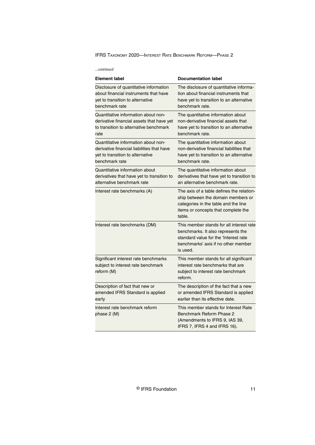| continued |
|-----------|
|           |

| <b>Element label</b>                                                                     | <b>Documentation label</b>                                                                                                                                                 |
|------------------------------------------------------------------------------------------|----------------------------------------------------------------------------------------------------------------------------------------------------------------------------|
| Disclosure of quantitative information                                                   | The disclosure of quantitative informa-                                                                                                                                    |
| about financial instruments that have                                                    | tion about financial instruments that                                                                                                                                      |
| yet to transition to alternative                                                         | have yet to transition to an alternative                                                                                                                                   |
| benchmark rate                                                                           | benchmark rate.                                                                                                                                                            |
| Quantitative information about non-                                                      | The quantitative information about                                                                                                                                         |
| derivative financial assets that have yet                                                | non-derivative financial assets that                                                                                                                                       |
| to transition to alternative benchmark                                                   | have yet to transition to an alternative                                                                                                                                   |
| rate                                                                                     | benchmark rate.                                                                                                                                                            |
| Quantitative information about non-                                                      | The quantitative information about                                                                                                                                         |
| derivative financial liabilities that have                                               | non-derivative financial liabilities that                                                                                                                                  |
| yet to transition to alternative                                                         | have yet to transition to an alternative                                                                                                                                   |
| benchmark rate                                                                           | benchmark rate.                                                                                                                                                            |
| Quantitative information about                                                           | The quantitative information about                                                                                                                                         |
| derivatives that have yet to transition to                                               | derivatives that have yet to transition to                                                                                                                                 |
| alternative benchmark rate                                                               | an alternative benchmark rate.                                                                                                                                             |
| Interest rate benchmarks (A)                                                             | The axis of a table defines the relation-<br>ship between the domain members or<br>categories in the table and the line<br>items or concepts that complete the<br>table.   |
| Interest rate benchmarks (DM)                                                            | This member stands for all interest rate<br>benchmarks. It also represents the<br>standard value for the 'Interest rate<br>benchmarks' axis if no other member<br>is used. |
| Significant interest rate benchmarks<br>subject to interest rate benchmark<br>reform (M) | This member stands for all significant<br>interest rate benchmarks that are<br>subject to interest rate benchmark<br>reform.                                               |
| Description of fact that new or                                                          | The description of the fact that a new                                                                                                                                     |
| amended IFRS Standard is applied                                                         | or amended IFRS Standard is applied                                                                                                                                        |
| early                                                                                    | earlier than its effective date.                                                                                                                                           |
| Interest rate benchmark reform<br>phase 2 (M)                                            | This member stands for Interest Rate<br>Benchmark Reform Phase 2<br>(Amendments to IFRS 9, IAS 39,<br>IFRS 7, IFRS 4 and IFRS 16).                                         |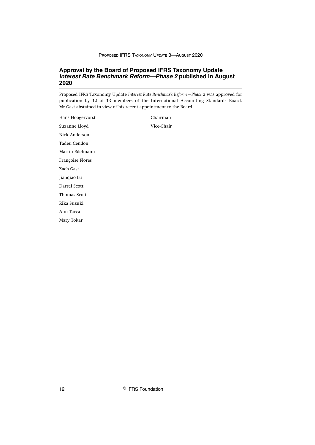#### <span id="page-12-0"></span>**Approval by the Board of Proposed IFRS Taxonomy Update Interest Rate Benchmark Reform—Phase 2 published in August 2020**

Proposed IFRS Taxonomy Update *Interest Rate Benchmark Reform—Phase 2* was approved for publication by 12 of 13 members of the International Accounting Standards Board. Mr Gast abstained in view of his recent appointment to the Board.

| Hans Hoogervorst | Chairman   |
|------------------|------------|
| Suzanne Lloyd    | Vice-Chair |
| Nick Anderson    |            |
| Tadeu Cendon     |            |
| Martin Edelmann  |            |
| Françoise Flores |            |
| Zach Gast        |            |
| Jianqiao Lu      |            |
| Darrel Scott     |            |
| Thomas Scott     |            |
| Rika Suzuki      |            |
| Ann Tarca        |            |
| Mary Tokar       |            |
|                  |            |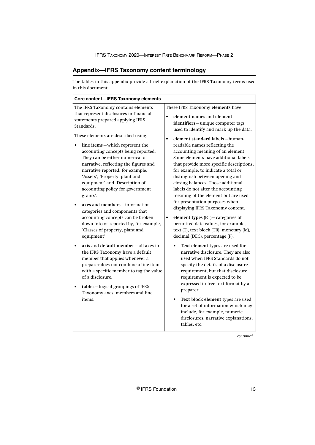#### <span id="page-13-0"></span>**Appendix—IFRS Taxonomy content terminology**

The tables in this appendix provide a brief explanation of the IFRS Taxonomy terms used in this document.

*continued...*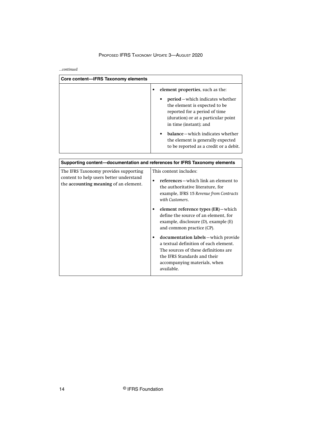*...continued*

| Core content-IFRS Taxonomy elements                                                                                       |                                                                                                                                                                                                                                                                                                                                                                                                                                                                                                                                |  |
|---------------------------------------------------------------------------------------------------------------------------|--------------------------------------------------------------------------------------------------------------------------------------------------------------------------------------------------------------------------------------------------------------------------------------------------------------------------------------------------------------------------------------------------------------------------------------------------------------------------------------------------------------------------------|--|
|                                                                                                                           | element properties, such as the:<br>$\bullet$<br>period – which indicates whether<br>the element is expected to be<br>reported for a period of time<br>(duration) or at a particular point<br>in time (instant); and<br>balance – which indicates whether<br>the element is generally expected<br>to be reported as a credit or a debit.                                                                                                                                                                                       |  |
| Supporting content-documentation and references for IFRS Taxonomy elements                                                |                                                                                                                                                                                                                                                                                                                                                                                                                                                                                                                                |  |
| The IFRS Taxonomy provides supporting<br>content to help users better understand<br>the accounting meaning of an element. | This content includes:<br>references – which link an element to<br>the authoritative literature, for<br>example, IFRS 15 Revenue from Contracts<br>with Customers.<br>element reference types (ER) - which<br>define the source of an element, for<br>example, disclosure (D), example (E)<br>and common practice (CP).<br>documentation labels - which provide<br>a textual definition of each element.<br>The sources of these definitions are<br>the IFRS Standards and their<br>accompanying materials, when<br>available. |  |